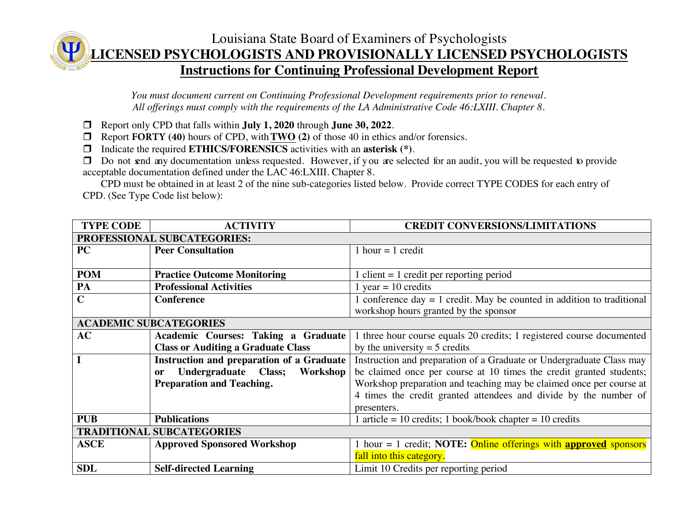## Louisiana State Board of Examiners of Psychologists **LICENSED PSYCHOLOGISTS AND PROVISIONALLY LICENSED PSYCHOLOGISTS Instructions for Continuing Professional Development Report**

*You must document current on Continuing Professional Development requirements prior to renewal. All offerings must comply with the requirements of the LA Administrative Code 46:LXIII. Chapter 8.* 

- r Report only CPD that falls within **July 1, 2020** through **June 30, 2022**.
- r Report **FORTY (40)** hours of CPD, with **TWO (2)** of those 40 in ethics and/or forensics.
- r Indicate the required **ETHICS/FORENSICS** activities with an **asterisk (\*)**.
- $\Box$  Do not send any documentation unless requested. However, if y ou are selected for an audit, you will be requested to provide acceptable documentation defined under the LAC 46:LXIII. Chapter 8.

 CPD must be obtained in at least 2 of the nine sub-categories listed below. Provide correct TYPE CODES for each entry of CPD. (See Type Code list below):

| <b>TYPE CODE</b>                 | <b>ACTIVITY</b>                                  | <b>CREDIT CONVERSIONS/LIMITATIONS</b>                                            |  |  |  |  |
|----------------------------------|--------------------------------------------------|----------------------------------------------------------------------------------|--|--|--|--|
| PROFESSIONAL SUBCATEGORIES:      |                                                  |                                                                                  |  |  |  |  |
| PC                               | <b>Peer Consultation</b>                         | 1 hour $=$ 1 credit                                                              |  |  |  |  |
|                                  |                                                  |                                                                                  |  |  |  |  |
| <b>POM</b>                       | <b>Practice Outcome Monitoring</b>               | client $= 1$ credit per reporting period                                         |  |  |  |  |
| PA                               | <b>Professional Activities</b>                   | 1 year = $10$ credits                                                            |  |  |  |  |
| $\mathbf C$                      | <b>Conference</b>                                | 1 conference day $= 1$ credit. May be counted in addition to traditional         |  |  |  |  |
|                                  |                                                  | workshop hours granted by the sponsor                                            |  |  |  |  |
| <b>ACADEMIC SUBCATEGORIES</b>    |                                                  |                                                                                  |  |  |  |  |
| <b>AC</b>                        | Academic Courses: Taking a Graduate              | 1 three hour course equals 20 credits; 1 registered course documented            |  |  |  |  |
|                                  | <b>Class or Auditing a Graduate Class</b>        | by the university $=$ 5 credits                                                  |  |  |  |  |
| I                                | <b>Instruction and preparation of a Graduate</b> | Instruction and preparation of a Graduate or Undergraduate Class may             |  |  |  |  |
|                                  | Undergraduate Class;<br>Workshop<br>or           | be claimed once per course at 10 times the credit granted students;              |  |  |  |  |
|                                  | <b>Preparation and Teaching.</b>                 | Workshop preparation and teaching may be claimed once per course at              |  |  |  |  |
|                                  |                                                  | 4 times the credit granted attendees and divide by the number of                 |  |  |  |  |
|                                  |                                                  | presenters.                                                                      |  |  |  |  |
| <b>PUB</b>                       | <b>Publications</b>                              | 1 article = 10 credits; 1 book/book chapter = 10 credits                         |  |  |  |  |
| <b>TRADITIONAL SUBCATEGORIES</b> |                                                  |                                                                                  |  |  |  |  |
| <b>ASCE</b>                      | <b>Approved Sponsored Workshop</b>               | 1 hour $= 1$ credit; <b>NOTE:</b> Online offerings with <b>approved</b> sponsors |  |  |  |  |
|                                  |                                                  | fall into this category.                                                         |  |  |  |  |
| <b>SDL</b>                       | <b>Self-directed Learning</b>                    | Limit 10 Credits per reporting period                                            |  |  |  |  |